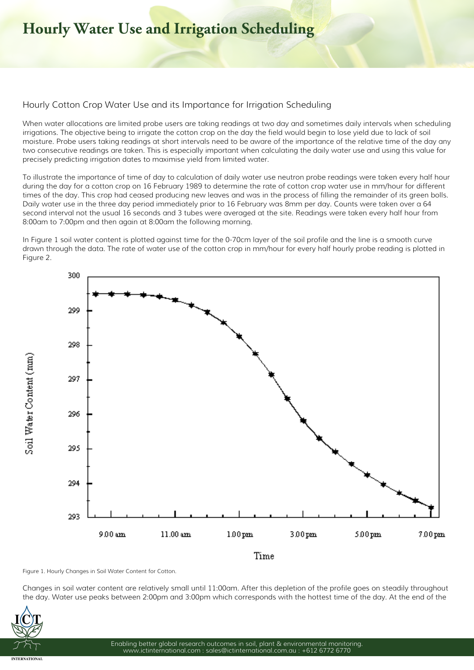## **Hourly Water Use and Irrigation Scheduling**

## **Hourly Cotton Crop Water Use and its Importance for Irrigation Scheduling**

When water allocations are limited probe users are taking readings at two day and sometimes daily intervals when scheduling irrigations. The objective being to irrigate the cotton crop on the day the field would begin to lose yield due to lack of soil moisture. Probe users taking readings at short intervals need to be aware of the importance of the relative time of the day any two consecutive readings are taken. This is especially important when calculating the daily water use and using this value for precisely predicting irrigation dates to maximise yield from limited water.

To illustrate the importance of time of day to calculation of daily water use neutron probe readings were taken every half hour during the day for a cotton crop on 16 February 1989 to determine the rate of cotton crop water use in mm/hour for different times of the day. This crop had ceased producing new leaves and was in the process of filling the remainder of its green bolls. Daily water use in the three day period immediately prior to 16 February was 8mm per day. Counts were taken over a 64 second interval not the usual 16 seconds and 3 tubes were averaged at the site. Readings were taken every half hour from 8:00am to 7:00pm and then again at 8:00am the following morning.

In Figure 1 soil water content is plotted against time for the 0-70cm layer of the soil profile and the line is a smooth curve drawn through the data. The rate of water use of the cotton crop in mm/hour for every half hourly probe reading is plotted in Figure 2.



**Figure 1. Hourly Changes in Soil Water Content for Cotton.**

Changes in soil water content are relatively small until 11:00am. After this depletion of the profile goes on steadily throughout the day. Water use peaks between 2:00pm and 3:00pm which corresponds with the hottest time of the day. At the end of the